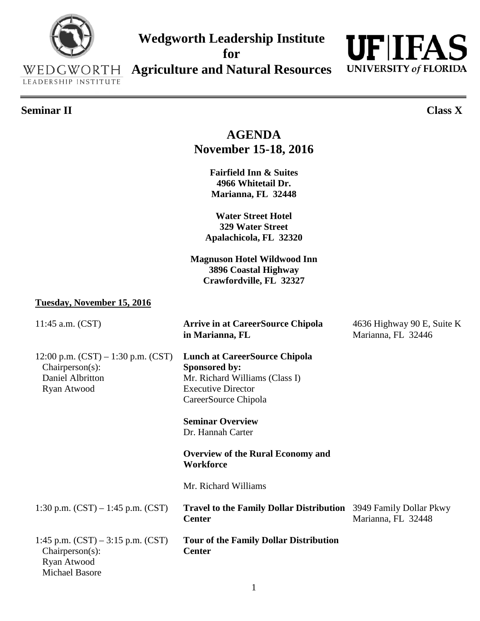## WEDGWORTH **Agriculture and Natural Resources**LEADERSHIP INSTITUTE **Seminar II Class X AGENDA November 15-18, 2016 Fairfield Inn & Suites 4966 Whitetail Dr. Marianna, FL 32448 Water Street Hotel 329 Water Street Apalachicola, FL 32320 Magnuson Hotel Wildwood Inn 3896 Coastal Highway Crawfordville, FL 32327 Tuesday, November 15, 2016** 11:45 a.m. (CST) **Arrive in at CareerSource Chipola** 4636 Highway 90 E, Suite K **in Marianna, FL** Marianna, FL 32446 12:00 p.m. (CST) – 1:30 p.m. (CST) **Lunch at CareerSource Chipola** Chairperson(s): **Sponsored by:** Daniel Albritton Mr. Richard Williams (Class I) Ryan Atwood Executive Director CareerSource Chipola **Seminar Overview** Dr. Hannah Carter **Overview of the Rural Economy and Workforce**

Mr. Richard Williams

| 1:30 p.m. $(CST) - 1:45$ p.m. $(CST)$                    | <b>Travel to the Family Dollar Distribution</b> 3949 Family Dollar Pkwy<br><b>Center</b> | Marianna, FL 32448 |
|----------------------------------------------------------|------------------------------------------------------------------------------------------|--------------------|
| 1:45 p.m. $(CST) - 3:15$ p.m. $(CST)$<br>Chairperson(s): | <b>Tour of the Family Dollar Distribution</b><br>Center                                  |                    |

**Wedgworth Leadership Institute** 

**for** 

 Ryan Atwood Michael Basore

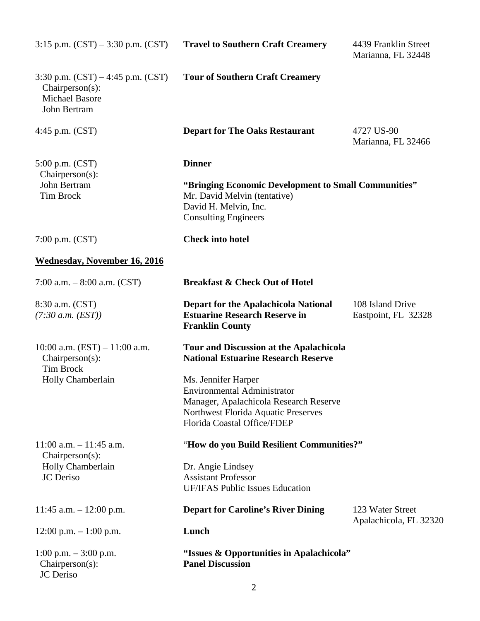| $3:15$ p.m. $(CST) - 3:30$ p.m. $(CST)$                                                              | <b>Travel to Southern Craft Creamery</b>                                                                                                                                                                                                                           | 4439 Franklin Street<br>Marianna, FL 32448 |  |
|------------------------------------------------------------------------------------------------------|--------------------------------------------------------------------------------------------------------------------------------------------------------------------------------------------------------------------------------------------------------------------|--------------------------------------------|--|
| 3:30 p.m. $(CST) - 4:45$ p.m. $(CST)$<br>$Chairperson(s)$ :<br><b>Michael Basore</b><br>John Bertram | <b>Tour of Southern Craft Creamery</b>                                                                                                                                                                                                                             |                                            |  |
| 4:45 p.m. $(CST)$                                                                                    | <b>Depart for The Oaks Restaurant</b>                                                                                                                                                                                                                              | 4727 US-90<br>Marianna, FL 32466           |  |
| 5:00 p.m. (CST)                                                                                      | <b>Dinner</b>                                                                                                                                                                                                                                                      |                                            |  |
| $Chairperson(s)$ :<br>John Bertram<br><b>Tim Brock</b>                                               | "Bringing Economic Development to Small Communities"<br>Mr. David Melvin (tentative)<br>David H. Melvin, Inc.<br><b>Consulting Engineers</b>                                                                                                                       |                                            |  |
| 7:00 p.m. $(CST)$                                                                                    | <b>Check into hotel</b>                                                                                                                                                                                                                                            |                                            |  |
| <b>Wednesday, November 16, 2016</b>                                                                  |                                                                                                                                                                                                                                                                    |                                            |  |
| 7:00 a.m. $-8:00$ a.m. (CST)                                                                         | <b>Breakfast &amp; Check Out of Hotel</b>                                                                                                                                                                                                                          |                                            |  |
| 8:30 a.m. (CST)<br>(7:30 a.m. (EST))                                                                 | <b>Depart for the Apalachicola National</b><br><b>Estuarine Research Reserve in</b><br><b>Franklin County</b>                                                                                                                                                      | 108 Island Drive<br>Eastpoint, FL 32328    |  |
| 10:00 a.m. $(EST) - 11:00$ a.m.<br>$Chairperson(s)$ :<br><b>Tim Brock</b><br>Holly Chamberlain       | Tour and Discussion at the Apalachicola<br><b>National Estuarine Research Reserve</b><br>Ms. Jennifer Harper<br><b>Environmental Administrator</b><br>Manager, Apalachicola Research Reserve<br>Northwest Florida Aquatic Preserves<br>Florida Coastal Office/FDEP |                                            |  |
| $11:00$ a.m. $-11:45$ a.m.                                                                           | "How do you Build Resilient Communities?"                                                                                                                                                                                                                          |                                            |  |
| Chairperson(s):<br>Holly Chamberlain<br>JC Deriso                                                    | Dr. Angie Lindsey<br><b>Assistant Professor</b><br><b>UF/IFAS Public Issues Education</b>                                                                                                                                                                          |                                            |  |
| 11:45 a.m. $- 12:00$ p.m.                                                                            | <b>Depart for Caroline's River Dining</b>                                                                                                                                                                                                                          | 123 Water Street<br>Apalachicola, FL 32320 |  |
| $12:00$ p.m. $-1:00$ p.m.                                                                            | Lunch                                                                                                                                                                                                                                                              |                                            |  |
| 1:00 p.m. $-3:00$ p.m.<br>Chairperson(s):<br>JC Deriso                                               | "Issues & Opportunities in Apalachicola"<br><b>Panel Discussion</b>                                                                                                                                                                                                |                                            |  |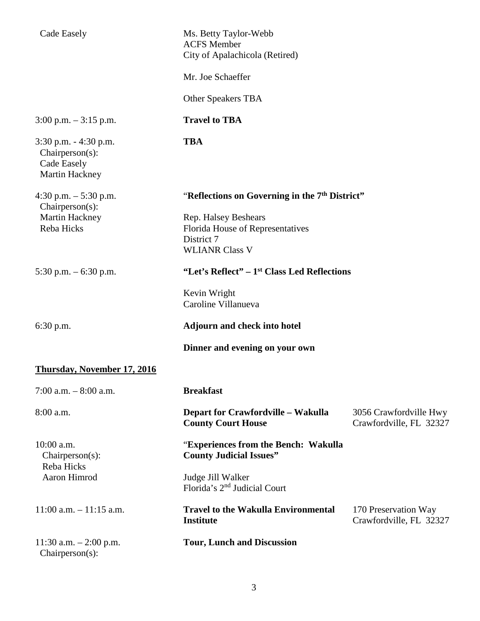| Cade Easely                                                                     | Ms. Betty Taylor-Webb<br><b>ACFS</b> Member<br>City of Apalachicola (Retired)                   |                                                   |
|---------------------------------------------------------------------------------|-------------------------------------------------------------------------------------------------|---------------------------------------------------|
|                                                                                 | Mr. Joe Schaeffer                                                                               |                                                   |
|                                                                                 | Other Speakers TBA                                                                              |                                                   |
| $3:00$ p.m. $-3:15$ p.m.                                                        | <b>Travel to TBA</b>                                                                            |                                                   |
| $3:30$ p.m. $-4:30$ p.m.<br>$Chairperson(s)$ :<br>Cade Easely<br>Martin Hackney | <b>TBA</b>                                                                                      |                                                   |
| 4:30 p.m. $-5:30$ p.m.<br>$Chairperson(s)$ :                                    | "Reflections on Governing in the 7 <sup>th</sup> District"                                      |                                                   |
| Martin Hackney<br>Reba Hicks                                                    | Rep. Halsey Beshears<br>Florida House of Representatives<br>District 7<br><b>WLIANR Class V</b> |                                                   |
| 5:30 p.m. $-6:30$ p.m.                                                          | "Let's Reflect" – 1 <sup>st</sup> Class Led Reflections                                         |                                                   |
|                                                                                 | Kevin Wright<br>Caroline Villanueva                                                             |                                                   |
| $6:30$ p.m.                                                                     | <b>Adjourn and check into hotel</b>                                                             |                                                   |
|                                                                                 | Dinner and evening on your own                                                                  |                                                   |
| <b>Thursday, November 17, 2016</b>                                              |                                                                                                 |                                                   |
| 7:00 a.m. $-8:00$ a.m.                                                          | <b>Breakfast</b>                                                                                |                                                   |
| 8:00 a.m.                                                                       | <b>Depart for Crawfordville - Wakulla</b><br><b>County Court House</b>                          | 3056 Crawfordville Hwy<br>Crawfordville, FL 32327 |
| 10:00 a.m.<br>$Chairperson(s)$ :                                                | "Experiences from the Bench: Wakulla<br><b>County Judicial Issues"</b>                          |                                                   |
| Reba Hicks<br>Aaron Himrod                                                      | Judge Jill Walker<br>Florida's 2 <sup>nd</sup> Judicial Court                                   |                                                   |
| $11:00$ a.m. $-11:15$ a.m.                                                      | <b>Travel to the Wakulla Environmental</b><br><b>Institute</b>                                  | 170 Preservation Way<br>Crawfordville, FL 32327   |
| 11:30 a.m. $- 2:00$ p.m.<br>Chairperson(s):                                     | <b>Tour, Lunch and Discussion</b>                                                               |                                                   |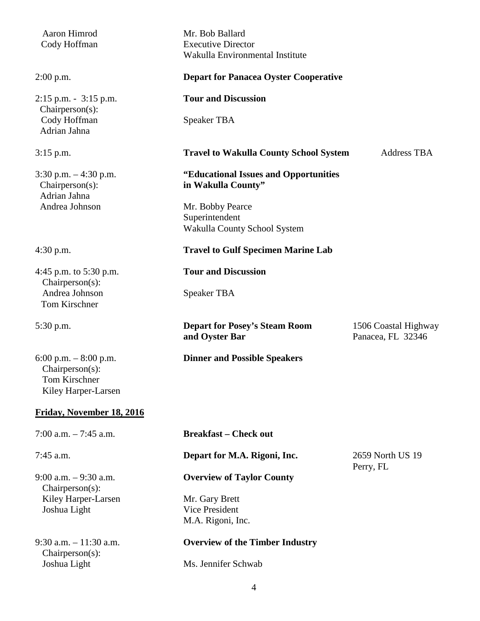| Aaron Himrod<br>Cody Hoffman                                                             | Mr. Bob Ballard<br><b>Executive Director</b><br>Wakulla Environmental Institute |                                           |
|------------------------------------------------------------------------------------------|---------------------------------------------------------------------------------|-------------------------------------------|
| $2:00$ p.m.                                                                              | <b>Depart for Panacea Oyster Cooperative</b>                                    |                                           |
| $2:15$ p.m. $-3:15$ p.m.                                                                 | <b>Tour and Discussion</b>                                                      |                                           |
| $Chairperson(s)$ :<br>Cody Hoffman<br>Adrian Jahna                                       | <b>Speaker TBA</b>                                                              |                                           |
| $3:15$ p.m.                                                                              | <b>Travel to Wakulla County School System</b>                                   | <b>Address TBA</b>                        |
| 3:30 p.m. $-4:30$ p.m.<br>$Chairperson(s)$ :<br>Adrian Jahna                             | "Educational Issues and Opportunities<br>in Wakulla County"                     |                                           |
| Andrea Johnson                                                                           | Mr. Bobby Pearce<br>Superintendent<br>Wakulla County School System              |                                           |
| $4:30$ p.m.                                                                              | <b>Travel to Gulf Specimen Marine Lab</b>                                       |                                           |
| 4:45 p.m. to 5:30 p.m.<br>Chairperson(s):                                                | <b>Tour and Discussion</b>                                                      |                                           |
| Andrea Johnson<br>Tom Kirschner                                                          | <b>Speaker TBA</b>                                                              |                                           |
| 5:30 p.m.                                                                                | <b>Depart for Posey's Steam Room</b><br>and Oyster Bar                          | 1506 Coastal Highway<br>Panacea, FL 32346 |
| 6:00 p.m. $-8:00$ p.m.<br>Chairperson(s):<br><b>Tom Kirschner</b><br>Kiley Harper-Larsen | <b>Dinner and Possible Speakers</b>                                             |                                           |
| Friday, November 18, 2016                                                                |                                                                                 |                                           |
| 7:00 a.m. $-7:45$ a.m.                                                                   | <b>Breakfast – Check out</b>                                                    |                                           |
| 7:45 a.m.                                                                                | Depart for M.A. Rigoni, Inc.                                                    | 2659 North US 19<br>Perry, FL             |
| $9:00$ a.m. $-9:30$ a.m.<br>$Chairperson(s)$ :                                           | <b>Overview of Taylor County</b>                                                |                                           |
| Kiley Harper-Larsen<br>Joshua Light                                                      | Mr. Gary Brett<br><b>Vice President</b><br>M.A. Rigoni, Inc.                    |                                           |
| $9:30$ a.m. $-11:30$ a.m.                                                                | <b>Overview of the Timber Industry</b>                                          |                                           |
| $Chairperson(s)$ :<br>Joshua Light                                                       | Ms. Jennifer Schwab                                                             |                                           |
|                                                                                          |                                                                                 |                                           |